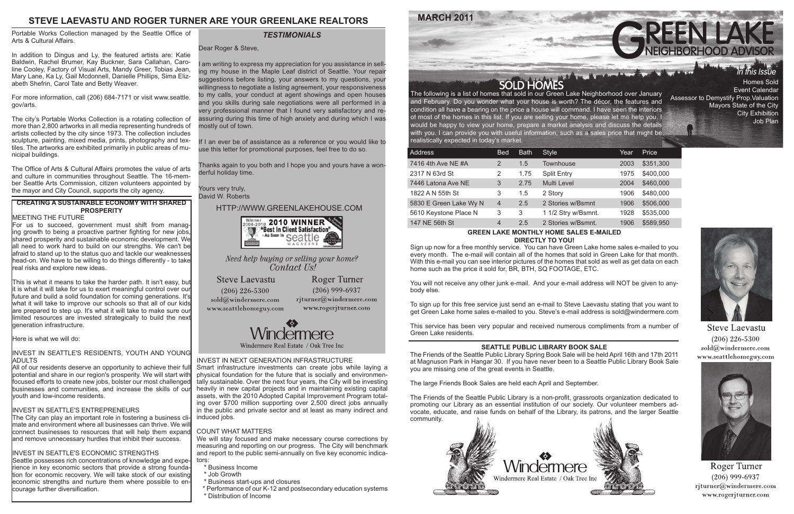## INVEST IN NEXT GENERATION INFRASTRUCTURE

Smart infrastructure investments can create jobs while laying a physical foundation for the future that is socially and environmentally sustainable. Over the next four years, the City will be investing heavily in new capital projects and in maintaining existing capital assets, with the 2010 Adopted Capital Improvement Program totaling over \$700 million supporting over 2,500 direct jobs annually in the public and private sector and at least as many indirect and induced jobs.

## COUNT WHAT MATTERS

We will stay focused and make necessary course corrections by measuring and reporting on our progress. The City will benchmark and report to the public semi-annually on five key economic indicators:

- \* Business Income
- \* Job Growth
- \* Business start-ups and closures
- \* Performance of our K-12 and postsecondary education systems
- \* Distribution of Income

and February. Do you wonder what your house is worth? The décor, the features and condition all have a bearing on the price a house will command. I have seen the interiors of most of the homes in this list. If you are selling your home, please let me help you. I would be happy to view your home, prepare a market analysis and discuss the details with you. I can provide you with useful information, such as a sales price that might be realistically expected in today's market.

| <b>Address</b>         | <b>Bed</b>     | <b>Bath</b> | <b>Style</b>        | Year | Price     |
|------------------------|----------------|-------------|---------------------|------|-----------|
| 7416 4th Ave NE #A     | $\overline{2}$ | 1.5         | <b>Townhouse</b>    | 2003 | \$351,300 |
| 2317 N 63rd St         | 2              | 1.75        | <b>Split Entry</b>  | 1975 | \$400,000 |
| 7446 Latona Ave NE     | 3              | 2.75        | <b>Multi Level</b>  | 2004 | \$460,000 |
| 1822 A N 55th St       | 3              | 1.5         | 2 Story             | 1906 | \$480,000 |
| 5830 E Green Lake Wy N | $\overline{4}$ | 2.5         | 2 Stories w/Bsmnt   | 1906 | \$506,000 |
| 5610 Keystone Place N  | 3              | 3           | 1 1/2 Stry w/Bsmnt. | 1928 | \$535,000 |
| 147 NE 56th St         | 4              | 2.5         | 2 Stories w/Bsmnt.  | 1906 | \$589,950 |
|                        |                |             |                     |      |           |



#### **GREEN LAKE MONTHLY HOME SALES E-MAILED DIRECTLY TO YOU!**

In addition to Dingus and Ly, the featured artists are: Katie Baldwin, Rachel Brumer, Kay Buckner, Sara Callahan, Caroline Cooley, Factory of Visual Arts, Mandy Greer, Tobias Jean, Mary Lane, Ka Ly, Gail Mcdonnell, Danielle Phillips, Sima Elizabeth Shefrin, Carol Tate and Betty Weaver.

> Sign up now for a free monthly service. You can have Green Lake home sales e-mailed to you every month. The e-mail will contain all of the homes that sold in Green Lake for that month. With this e-mail you can see interior pictures of the homes that sold as well as get data on each home such as the price it sold for, BR, BTH, SQ FOOTAGE, ETC.

> You will not receive any other junk e-mail. And your e-mail address will NOT be given to anybody else.

> To sign up for this free service just send an e-mail to Steve Laevastu stating that you want to get Green Lake home sales e-mailed to you. Steve's e-mail address is sold@windermere.com

> This service has been very popular and received numerous compliments from a number of Green Lake residents.

# **STEVE LAEVASTU AND ROGER TURNER ARE YOUR GREENLAKE REALTORS**

Event Calendar Assessor to Demystify Prop.Valuation Mayors State of the City City Exhibition Job Plan



**Steve Laevastu**  $(206)$  226-5300 sold@windermere.com www.seattlehomeguy.com



Roger Turner  $(206)$  999-6937  $r$ jturner@windermere.com www.rogerjturner.com

## **SEATTLE PUBLIC LIBRARY BOOK SALE**

This is what it means to take the harder path. It isn't easy, but it is what it will take for us to exert meaningful control over our future and build a solid foundation for coming generations. It's what it will take to improve our schools so that all of our kids are prepared to step up. It's what it will take to make sure our limited resources are invested strategically to build the next lgeneration infrastructure.

> The Friends of the Seattle Public Library Spring Book Sale will be held April 16th and 17th 2011 at Magnuson Park in Hangar 30. If you have never been to a Seattle Public Library Book Sale you are missing one of the great events in Seattle.

## INVEST IN SEATTLE'S RESIDENTS, YOUTH AND YOUNG **ADULTS**

The large Friends Book Sales are held each April and September.

The Friends of the Seattle Public Library is a non-profit, grassroots organization dedicated to promoting our Library as an essential institution of our society. Our volunteer members advocate, educate, and raise funds on behalf of the Library, its patrons, and the larger Seattle community.



Portable Works Collection managed by the Seattle Office of Arts & Cultural Affairs.

For more information, call (206) 684-7171 or visit www.seattle. gov/arts.

The city's Portable Works Collection is a rotating collection of more than 2,800 artworks in all media representing hundreds of artists collected by the city since 1973. The collection includes sculpture, painting, mixed media, prints, photography and textiles. The artworks are exhibited primarily in public areas of municipal buildings.

The Office of Arts & Cultural Affairs promotes the value of arts and culture in communities throughout Seattle. The 16-member Seattle Arts Commission, citizen volunteers appointed by the mayor and City Council, supports the city agency.

I am writing to express my appreciation for you assistance in selling my house in the Maple Leaf district of Seattle. Your repair suggestions before listing, your answers to my questions, your willingness to negotiate a listing agreement, your responsiveness to my calls, your conduct at agent showings and open houses and you skills during sale negotiations were all performed in a very professional manner that I found very satisfactory and reassuring during this time of high anxiety and during which I was mostly out of town.

If I an ever be of assistance as a reference or you would like to use this letter for promotional purposes, feel free to do so.

Thanks again to you both and I hope you and yours have a wonderful holiday time.

Yours very truly, David W. Roberts

## HTTP://WWW.GREENLAKEHOUSE.COM



Need help buying or selling your home? Contact Us!

**Steve Laevastu**  $(206)$  226-5300  $\text{cold}(\textit{a})$ windermere.com www.seattlehomeguy.com

**Roger Turner**  $(206)$  999-6937 rjturner@windermere.com www.rogerjturner.com



Windermere Real Estate / Oak Tree Inc

# *TESTIMONIALS*

Dear Roger & Steve.

## **CREATING A SUSTAINABLE ECONOMY WITH SHARED PROSPERITY**

## MEETING THE FUTURE

For us to succeed, government must shift from managing growth to being a proactive partner fighting for new jobs, shared prosperity and sustainable economic development. We all need to work hard to build on our strengths. We can't be afraid to stand up to the status quo and tackle our weaknesses head-on. We have to be willing to do things differently - to take real risks and explore new ideas.

Here is what we will do:

All of our residents deserve an opportunity to achieve their full potential and share in our region's prosperity. We will start with focused efforts to create new jobs, bolster our most challenged businesses and communities, and increase the skills of our youth and low-income residents.

## INVEST IN SEATTLE'S ENTREPRENEURS

The City can play an important role in fostering a business climate and environment where all businesses can thrive. We will connect businesses to resources that will help them expand and remove unnecessary hurdles that inhibit their success.

## INVEST IN SEATTLE'S ECONOMIC STRENGTHS

Seattle possesses rich concentrations of knowledge and experience in key economic sectors that provide a strong foundation for economic recovery. We will take stock of our existing economic strengths and nurture them where possible to encourage further diversification.